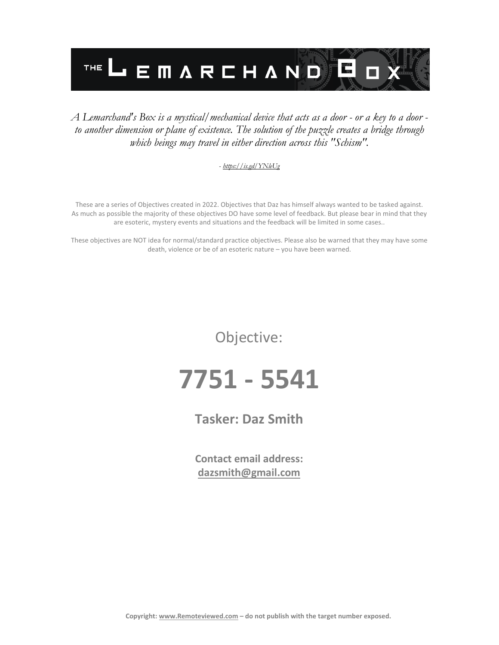

#### *A Lemarchand's Box is a mystical/mechanical device that acts as a door - or a key to a door to another dimension or plane of existence. The solution of the puzzle creates a bridge through which beings may travel in either direction across this "Schism".*

#### *- <https://is.gd/YNleUg>*

These are a series of Objectives created in 2022. Objectives that Daz has himself always wanted to be tasked against. As much as possible the majority of these objectives DO have some level of feedback. But please bear in mind that they are esoteric, mystery events and situations and the feedback will be limited in some cases..

These objectives are NOT idea for normal/standard practice objectives. Please also be warned that they may have some death, violence or be of an esoteric nature – you have been warned.

Objective:

## **7751 - 5541**

### **Tasker: Daz Smith**

**Contact email address: [dazsmith@gmail.com](mailto:dazsmith@gmail.com)**